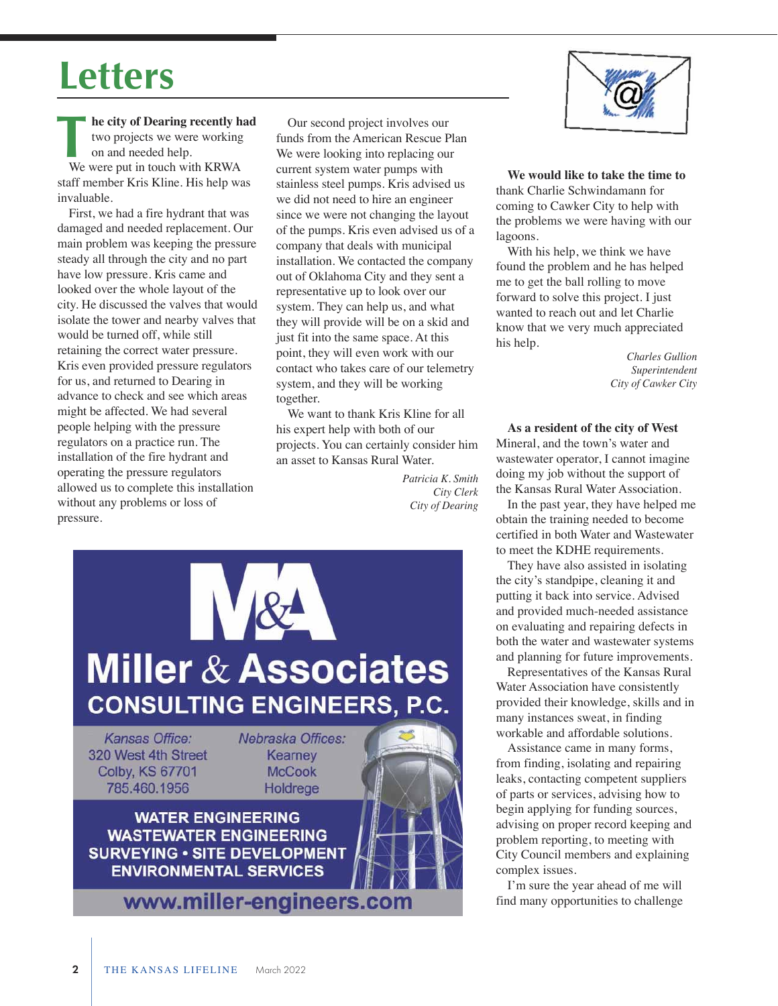## **Letters**

**he city of Dearing recently had** two projects we were working on and needed help. **The city of Dearing recently h**<br>two projects we were working<br>on and needed help.<br>We were put in touch with KRWA staff member Kris Kline. His help was invaluable.

First, we had a fire hydrant that was damaged and needed replacement. Our main problem was keeping the pressure steady all through the city and no part have low pressure. Kris came and looked over the whole layout of the city. He discussed the valves that would isolate the tower and nearby valves that would be turned off, while still retaining the correct water pressure. Kris even provided pressure regulators for us, and returned to Dearing in advance to check and see which areas might be affected. We had several people helping with the pressure regulators on a practice run. The installation of the fire hydrant and operating the pressure regulators allowed us to complete this installation without any problems or loss of pressure.

Our second project involves our funds from the American Rescue Plan We were looking into replacing our current system water pumps with stainless steel pumps. Kris advised us we did not need to hire an engineer since we were not changing the layout of the pumps. Kris even advised us of a company that deals with municipal installation. We contacted the company out of Oklahoma City and they sent a representative up to look over our system. They can help us, and what they will provide will be on a skid and just fit into the same space. At this point, they will even work with our contact who takes care of our telemetry system, and they will be working together.

We want to thank Kris Kline for all his expert help with both of our projects. You can certainly consider him an asset to Kansas Rural Water.

> *Patricia K. Smith City Clerk City of Dearing*





**We would like to take the time to** thank Charlie Schwindamann for coming to Cawker City to help with the problems we were having with our lagoons.

With his help, we think we have found the problem and he has helped me to get the ball rolling to move forward to solve this project. I just wanted to reach out and let Charlie know that we very much appreciated his help.

> *Charles Gullion Superintendent City of Cawker City*

**As a resident of the city of West**  Mineral, and the town's water and wastewater operator, I cannot imagine doing my job without the support of the Kansas Rural Water Association.

In the past year, they have helped me obtain the training needed to become certified in both Water and Wastewater to meet the KDHE requirements.

They have also assisted in isolating the city's standpipe, cleaning it and putting it back into service. Advised and provided much-needed assistance on evaluating and repairing defects in both the water and wastewater systems and planning for future improvements.

Representatives of the Kansas Rural Water Association have consistently provided their knowledge, skills and in many instances sweat, in finding workable and affordable solutions.

Assistance came in many forms, from finding, isolating and repairing leaks, contacting competent suppliers of parts or services, advising how to begin applying for funding sources, advising on proper record keeping and problem reporting, to meeting with City Council members and explaining complex issues.

I'm sure the year ahead of me will find many opportunities to challenge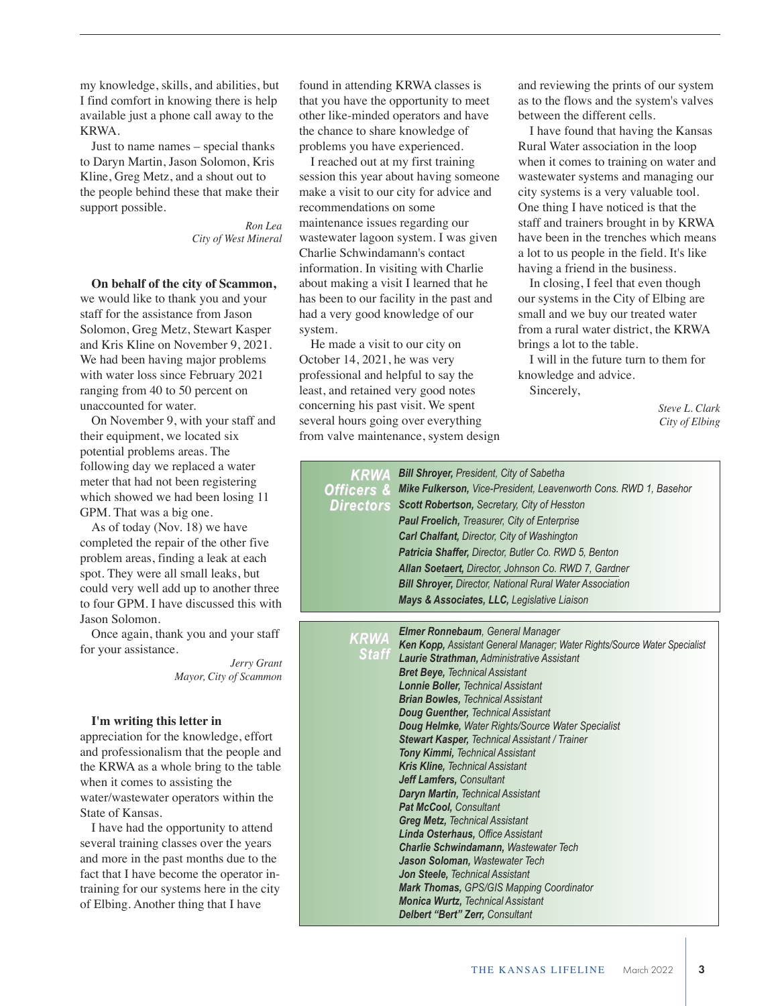my knowledge, skills, and abilities, but I find comfort in knowing there is help available just a phone call away to the KRWA.

Just to name names – special thanks to Daryn Martin, Jason Solomon, Kris Kline, Greg Metz, and a shout out to the people behind these that make their support possible.

> *Ron Lea City of West Mineral*

**On behalf of the city of Scammon,** 

we would like to thank you and your staff for the assistance from Jason Solomon, Greg Metz, Stewart Kasper and Kris Kline on November 9, 2021. We had been having major problems with water loss since February 2021 ranging from 40 to 50 percent on unaccounted for water.

On November 9, with your staff and their equipment, we located six potential problems areas. The following day we replaced a water meter that had not been registering which showed we had been losing 11 GPM. That was a big one.

As of today (Nov. 18) we have completed the repair of the other five problem areas, finding a leak at each spot. They were all small leaks, but could very well add up to another three to four GPM. I have discussed this with Jason Solomon.

Once again, thank you and your staff for your assistance.

> *Jerry Grant Mayor, City of Scammon*

**I'm writing this letter in** 

appreciation for the knowledge, effort and professionalism that the people and the KRWA as a whole bring to the table when it comes to assisting the water/wastewater operators within the State of Kansas.

I have had the opportunity to attend several training classes over the years and more in the past months due to the fact that I have become the operator intraining for our systems here in the city of Elbing. Another thing that I have

found in attending KRWA classes is that you have the opportunity to meet other like-minded operators and have the chance to share knowledge of problems you have experienced.

I reached out at my first training session this year about having someone make a visit to our city for advice and recommendations on some maintenance issues regarding our wastewater lagoon system. I was given Charlie Schwindamann's contact information. In visiting with Charlie about making a visit I learned that he has been to our facility in the past and had a very good knowledge of our system.

He made a visit to our city on October 14, 2021, he was very professional and helpful to say the least, and retained very good notes concerning his past visit. We spent several hours going over everything from valve maintenance, system design

and reviewing the prints of our system as to the flows and the system's valves between the different cells.

I have found that having the Kansas Rural Water association in the loop when it comes to training on water and wastewater systems and managing our city systems is a very valuable tool. One thing I have noticed is that the staff and trainers brought in by KRWA have been in the trenches which means a lot to us people in the field. It's like having a friend in the business.

In closing, I feel that even though our systems in the City of Elbing are small and we buy our treated water from a rural water district, the KRWA brings a lot to the table.

I will in the future turn to them for knowledge and advice. Sincerely,

> *Steve L. Clark City of Elbing*

| KRWA<br><b>Officers &amp;</b><br><b>Directors</b> | <b>Bill Shroyer, President, City of Sabetha</b><br><b>Mike Fulkerson, Vice-President, Leavenworth Cons. RWD 1, Basehor</b><br><b>Scott Robertson, Secretary, City of Hesston</b><br><b>Paul Froelich, Treasurer, City of Enterprise</b><br><b>Carl Chalfant, Director, City of Washington</b><br>Patricia Shaffer, Director, Butler Co. RWD 5, Benton<br>Allan Soetaert, Director, Johnson Co. RWD 7, Gardner<br><b>Bill Shroyer, Director, National Rural Water Association</b><br>Mays & Associates, LLC, Legislative Liaison                                                                                                                                                                                                                                                                                                                                                                                                                                             |
|---------------------------------------------------|-----------------------------------------------------------------------------------------------------------------------------------------------------------------------------------------------------------------------------------------------------------------------------------------------------------------------------------------------------------------------------------------------------------------------------------------------------------------------------------------------------------------------------------------------------------------------------------------------------------------------------------------------------------------------------------------------------------------------------------------------------------------------------------------------------------------------------------------------------------------------------------------------------------------------------------------------------------------------------|
| <b>KRWA</b><br><b>Staff</b>                       | <b>Elmer Ronnebaum, General Manager</b><br>Ken Kopp, Assistant General Manager; Water Rights/Source Water Specialist<br><b>Laurie Strathman, Administrative Assistant</b><br><b>Bret Beye, Technical Assistant</b><br><b>Lonnie Boller, Technical Assistant</b><br><b>Brian Bowles, Technical Assistant</b><br><b>Doug Guenther, Technical Assistant</b><br>Doug Helmke, Water Rights/Source Water Specialist<br><b>Stewart Kasper, Technical Assistant / Trainer</b><br><b>Tony Kimmi, Technical Assistant</b><br><b>Kris Kline, Technical Assistant</b><br>Jeff Lamfers, Consultant<br><b>Daryn Martin, Technical Assistant</b><br>Pat McCool, Consultant<br><b>Greg Metz, Technical Assistant</b><br><b>Linda Osterhaus, Office Assistant</b><br><b>Charlie Schwindamann, Wastewater Tech</b><br>Jason Soloman, Wastewater Tech<br><b>Jon Steele, Technical Assistant</b><br><b>Mark Thomas, GPS/GIS Mapping Coordinator</b><br><b>Monica Wurtz, Technical Assistant</b> |

*Delbert "Bert" Zerr, Consultant*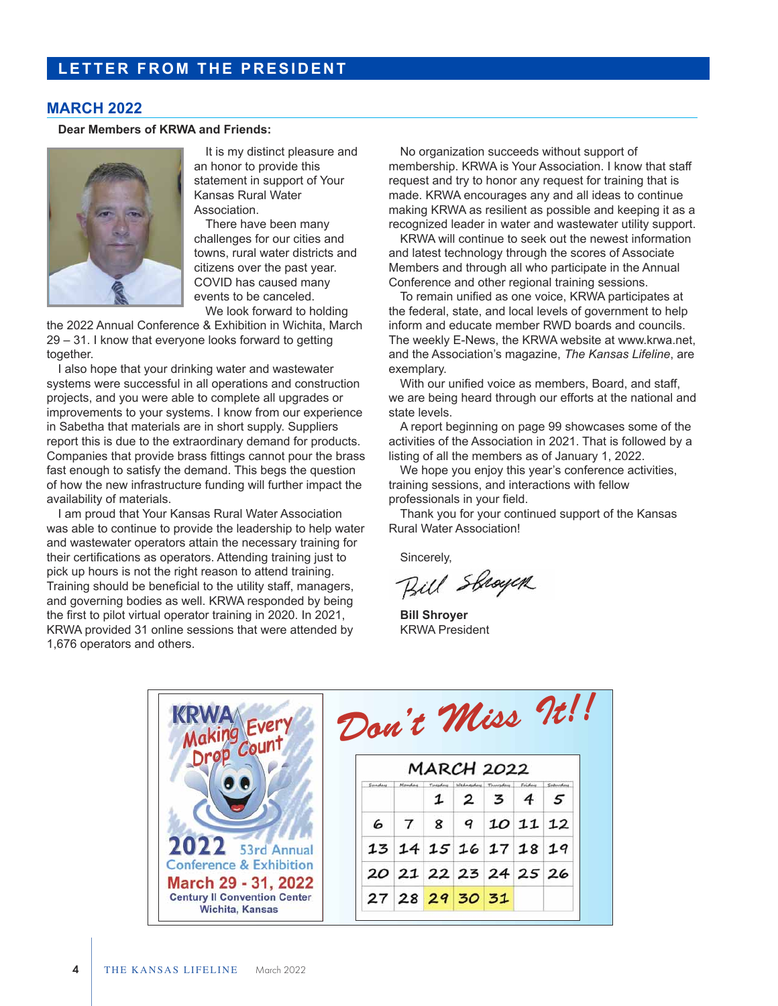## **MARCH 2022**

**Dear Members of KRWA and Friends:** 



It is my distinct pleasure and an honor to provide this statement in support of Your Kansas Rural Water Association.

There have been many challenges for our cities and towns, rural water districts and citizens over the past year. COVID has caused many events to be canceled. We look forward to holding

the 2022 Annual Conference & Exhibition in Wichita, March 29 – 31. I know that everyone looks forward to getting together.

I also hope that your drinking water and wastewater systems were successful in all operations and construction projects, and you were able to complete all upgrades or improvements to your systems. I know from our experience in Sabetha that materials are in short supply. Suppliers report this is due to the extraordinary demand for products. Companies that provide brass fittings cannot pour the brass fast enough to satisfy the demand. This begs the question of how the new infrastructure funding will further impact the availability of materials.

I am proud that Your Kansas Rural Water Association was able to continue to provide the leadership to help water and wastewater operators attain the necessary training for their certifications as operators. Attending training just to pick up hours is not the right reason to attend training. Training should be beneficial to the utility staff, managers, and governing bodies as well. KRWA responded by being the first to pilot virtual operator training in 2020. In 2021, KRWA provided 31 online sessions that were attended by 1,676 operators and others.

No organization succeeds without support of membership. KRWA is Your Association. I know that staff request and try to honor any request for training that is made. KRWA encourages any and all ideas to continue making KRWA as resilient as possible and keeping it as a recognized leader in water and wastewater utility support.

KRWA will continue to seek out the newest information and latest technology through the scores of Associate Members and through all who participate in the Annual Conference and other regional training sessions.

To remain unified as one voice, KRWA participates at the federal, state, and local levels of government to help inform and educate member RWD boards and councils. The weekly E-News, the KRWA website at www.krwa.net, and the Association's magazine, *The Kansas Lifeline*, are exemplary.

With our unified voice as members, Board, and staff, we are being heard through our efforts at the national and state levels.

A report beginning on page 99 showcases some of the activities of the Association in 2021. That is followed by a listing of all the members as of January 1, 2022.

We hope you enjoy this year's conference activities, training sessions, and interactions with fellow professionals in your field.

Thank you for your continued support of the Kansas Rural Water Association!

Sincerely,

Bill Shower

**Bill Shroyer** KRWA President

| Every                                                         | Don't Miss N!!    |        |                |                                    |                |                          |               |
|---------------------------------------------------------------|-------------------|--------|----------------|------------------------------------|----------------|--------------------------|---------------|
|                                                               | <b>MARCH 2022</b> |        |                |                                    |                |                          |               |
|                                                               | Sunday            | Monday | <b>Tuesday</b> | Wednesday Thursday<br>$\mathbf{2}$ | $\overline{3}$ | Friday<br>$\overline{4}$ | Sahveday<br>5 |
|                                                               |                   |        |                | 78910112                           |                |                          |               |
| <b>2022</b> 53rd Annual                                       |                   |        |                | 13 14 15 16 17 18 19               |                |                          |               |
| Conference & Exhibition<br>March 29 - 31, 2022                |                   |        |                | 20 21 22 23 24 25 26               |                |                          |               |
| <b>Century II Convention Center</b><br><b>Wichita, Kansas</b> |                   |        |                | 27 28 29 30 31                     |                |                          |               |